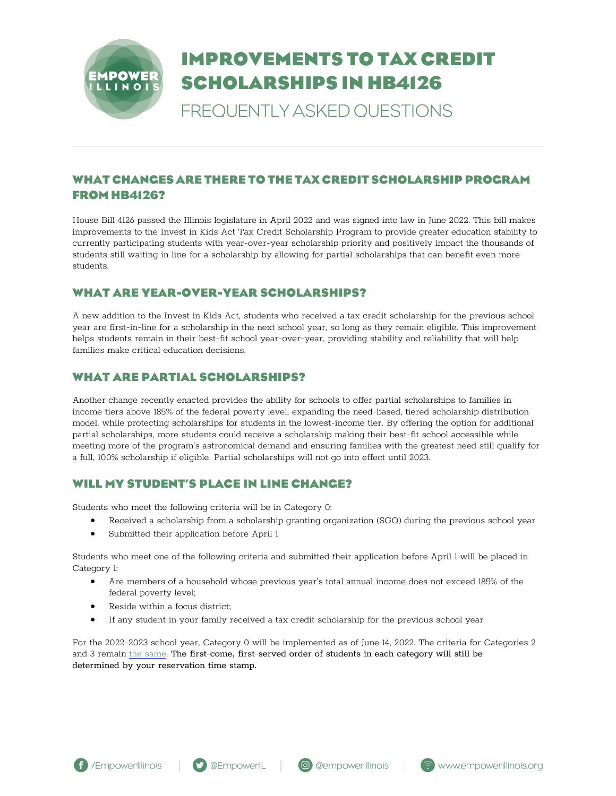

# **IMPROVEMENTS TO TAX CREDIT SCHOLARSHIPS IN HB4126**

FREQUENTLY ASKED QUESTIONS

# **WHAT CHANGES ARE THERE TO THE TAX CREDIT SCHOLARSHIP PROGRAM FROM HB4126?**

House Bill 4126 passed the Illinois legislature in April 2022 and was signed into law in June 2022. This bill makes improvements to the Invest in Kids Act Tax Credit Scholarship Program to provide greater education stability to currently participating students with year-over-year scholarship priority and positively impact the thousands of students still waiting in line for a scholarship by allowing for partial scholarships that can benefit even more students.

#### **WHAT ARE YEAR-OVER-YEAR SCHOLARSHIPS?**

A new addition to the Invest in Kids Act, students who received a tax credit scholarship for the previous school year are first-in-line for a scholarship in the next school year, so long as they remain eligible. This improvement helps students remain in their best-fit school year-over-year, providing stability and reliability that will help families make critical education decisions.

# **WHAT ARE PARTIAL SCHOLARSHIPS?**

Another change recently enacted provides the ability for schools to offer partial scholarships to families in income tiers above 185% of the federal poverty level, expanding the need-based, tiered scholarship distribution model, while protecting scholarships for students in the lowest-income tier. By offering the option for additional partial scholarships, more students could receive a scholarship making their best-fit school accessible while meeting more of the program's astronomical demand and ensuring families with the greatest need still qualify for a full, 100% scholarship if eligible. Partial scholarships will not go into effect until 2023.

#### **WILL MY STUDENT'S PLACE IN LINE CHANGE?**

Students who meet the following criteria will be in Category 0:

- Received a scholarship from a scholarship granting organization (SGO) during the previous school year
- Submitted their application before April 1

Students who meet one of the following criteria and submitted their application before April 1 will be placed in Category 1:

- Are members of a household whose previous year's total annual income does not exceed 185% of the federal poverty level;
- Reside within a focus district;
- If any student in your family received a tax credit scholarship for the previous school year

For the 2022-2023 school year, Category 0 will be implemented as of June 14, 2022. The criteria for Categories 2 and 3 remain [the same.](https://empowerillinois.org/apply/do-i-qualify/) The first-come, first-served order of students in each category will still be determined by your reservation time stamp.



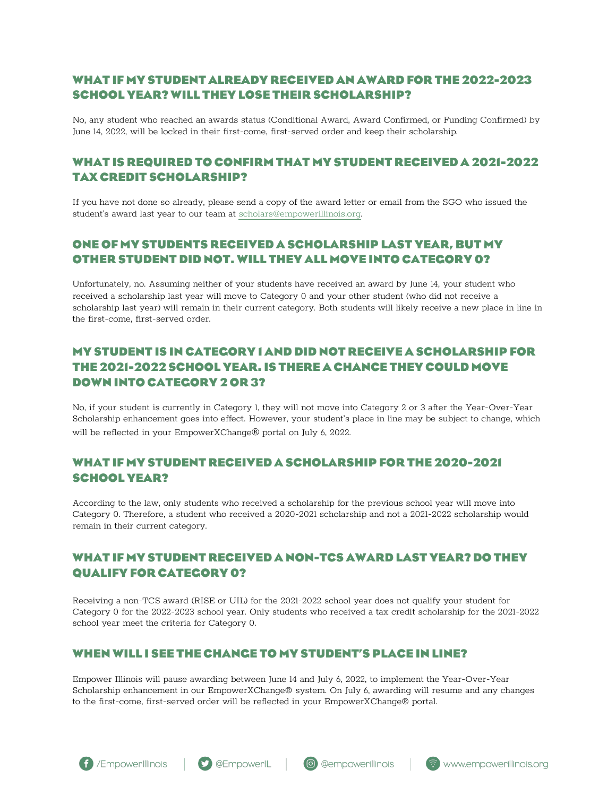# **WHAT IF MY STUDENT ALREADY RECEIVED AN AWARD FOR THE 2022-2023 SCHOOL YEAR? WILL THEY LOSE THEIR SCHOLARSHIP?**

No, any student who reached an awards status (Conditional Award, Award Confirmed, or Funding Confirmed) by June 14, 2022, will be locked in their first-come, first-served order and keep their scholarship.

### **WHAT IS REQUIRED TO CONFIRM THAT MY STUDENT RECEIVED A 2021-2022 TAX CREDIT SCHOLARSHIP?**

If you have not done so already, please send a copy of the award letter or email from the SGO who issued the student's award last year to our team at [scholars@empowerillinois.org.](mailto:scholars@empowerillinois.org)

#### **ONE OF MY STUDENTS RECEIVED A SCHOLARSHIP LAST YEAR, BUT MY OTHER STUDENT DID NOT. WILL THEY ALL MOVE INTO CATEGORY 0?**

Unfortunately, no. Assuming neither of your students have received an award by June 14, your student who received a scholarship last year will move to Category 0 and your other student (who did not receive a scholarship last year) will remain in their current category. Both students will likely receive a new place in line in the first-come, first-served order.

# **MY STUDENT IS IN CATEGORY 1 AND DID NOT RECEIVE A SCHOLARSHIP FOR THE 2021-2022 SCHOOL YEAR.IS THERE A CHANCE THEY COULD MOVE DOWN INTO CATEGORY 2 OR 3?**

No, if your student is currently in Category 1, they will not move into Category 2 or 3 after the Year-Over-Year Scholarship enhancement goes into effect. However, your student's place in line may be subject to change, which will be reflected in your EmpowerXChange® portal on July 6, 2022.

#### **WHAT IF MY STUDENT RECEIVED A SCHOLARSHIP FOR THE 2020-2021 SCHOOL YEAR?**

According to the law, only students who received a scholarship for the previous school year will move into Category 0. Therefore, a student who received a 2020-2021 scholarship and not a 2021-2022 scholarship would remain in their current category.

### **WHAT IF MY STUDENT RECEIVED A NON-TCS AWARD LAST YEAR? DO THEY QUALIFY FOR CATEGORY 0?**

Receiving a non-TCS award (RISE or UIL) for the 2021-2022 school year does not qualify your student for Category 0 for the 2022-2023 school year. Only students who received a tax credit scholarship for the 2021-2022 school year meet the criteria for Category 0.

#### **WHEN WILL I SEE THE CHANGE TO MY STUDENT'S PLACE IN LINE?**

Empower Illinois will pause awarding between June 14 and July 6, 2022, to implement the Year-Over-Year Scholarship enhancement in our EmpowerXChange® system. On July 6, awarding will resume and any changes to the first-come, first-served order will be reflected in your EmpowerXChange® portal.